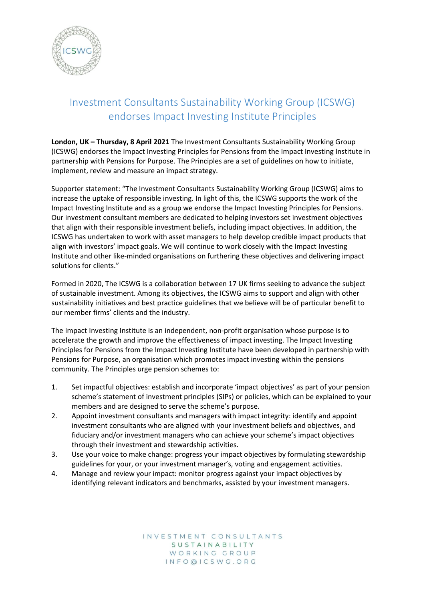

## Investment Consultants Sustainability Working Group (ICSWG) endorses Impact Investing Institute Principles

**London, UK – Thursday, 8 April 2021** The Investment Consultants Sustainability Working Group (ICSWG) endorses the [Impact Investing Principles for Pensions](https://www.impactinvest.org.uk/publications/impact-investing-four-good-governance-principles-for-pensions/) from th[e Impact Investing Institute](https://www.impactinvest.org.uk/) in partnership with [Pensions for Purpose.](https://www.pensionsforpurpose.com/) The Principles are a set of guidelines on how to initiate, implement, review and measure an impact strategy.

Supporter statement: "The Investment Consultants Sustainability Working Group (ICSWG) aims to increase the uptake of responsible investing. In light of this, the ICSWG supports the work of the Impact Investing Institute and as a group we endorse the Impact Investing Principles for Pensions. Our investment consultant members are dedicated to helping investors set investment objectives that align with their responsible investment beliefs, including impact objectives. In addition, the ICSWG has undertaken to work with asset managers to help develop credible impact products that align with investors' impact goals. We will continue to work closely with the Impact Investing Institute and other like-minded organisations on furthering these objectives and delivering impact solutions for clients."

Formed in 2020, The ICSWG is a collaboration between 17 UK firms seeking to advance the subject of sustainable investment. Among its objectives, the ICSWG aims to support and align with other sustainability initiatives and best practice guidelines that we believe will be of particular benefit to our member firms' clients and the industry.

The Impact Investing Institute is an independent, non-profit organisation whose purpose is to accelerate the growth and improve the effectiveness of impact investing. The Impact Investing Principles for Pensions from the Impact Investing Institute have been developed in partnership with Pensions for Purpose, an organisation which promotes impact investing within the pensions community. The Principles urge pension schemes to:

- 1. Set impactful objectives: establish and incorporate 'impact objectives' as part of your pension scheme's statement of investment principles (SIPs) or policies, which can be explained to your members and are designed to serve the scheme's purpose.
- 2. Appoint investment consultants and managers with impact integrity: identify and appoint investment consultants who are aligned with your investment beliefs and objectives, and fiduciary and/or investment managers who can achieve your scheme's impact objectives through their investment and stewardship activities.
- 3. Use your voice to make change: progress your impact objectives by formulating stewardship guidelines for your, or your investment manager's, voting and engagement activities.
- 4. Manage and review your impact: monitor progress against your impact objectives by identifying relevant indicators and benchmarks, assisted by your investment managers.

INVESTMENT CONSULTANTS SUSTAINABILITY WORKING GROUP INFO@ICSWG.ORG